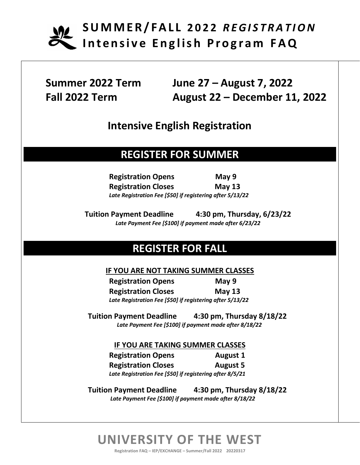

**Summer 2022 Term June 27 – August 7, 2022 Fall 2022 Term August 22 – December 11, 2022**

### **Intensive English Registration**

## **REGISTER FOR SUMMER**

**Registration Opens May 9 Registration Closes May 13** *Late Registration Fee [\$50] if registering after 5/13/22*

**Tuition Payment Deadline 4:30 pm, Thursday, 6/23/22**  *Late Payment Fee [\$100] if payment made after 6/23/22*

## **REGISTER FOR FALL**

#### **IF YOU ARE NOT TAKING SUMMER CLASSES**

**Registration Opens May 9 Registration Closes May 13** *Late Registration Fee [\$50] if registering after 5/13/22*

**Tuition Payment Deadline 4:30 pm, Thursday 8/18/22**  *Late Payment Fee [\$100] if payment made after 8/18/22*

#### **IF YOU ARE TAKING SUMMER CLASSES**

**Registration Opens August 1 Registration Closes August 5** *Late Registration Fee [\$50] if registering after 8/5/21*

**Tuition Payment Deadline 4:30 pm, Thursday 8/18/22**  *Late Payment Fee [\$100] if payment made after 8/18/22*

# **UNIVERSITY OF THE WEST**

**Registration FAQ – IEP/EXCHANGE – Summer/Fall 2022 20220317**